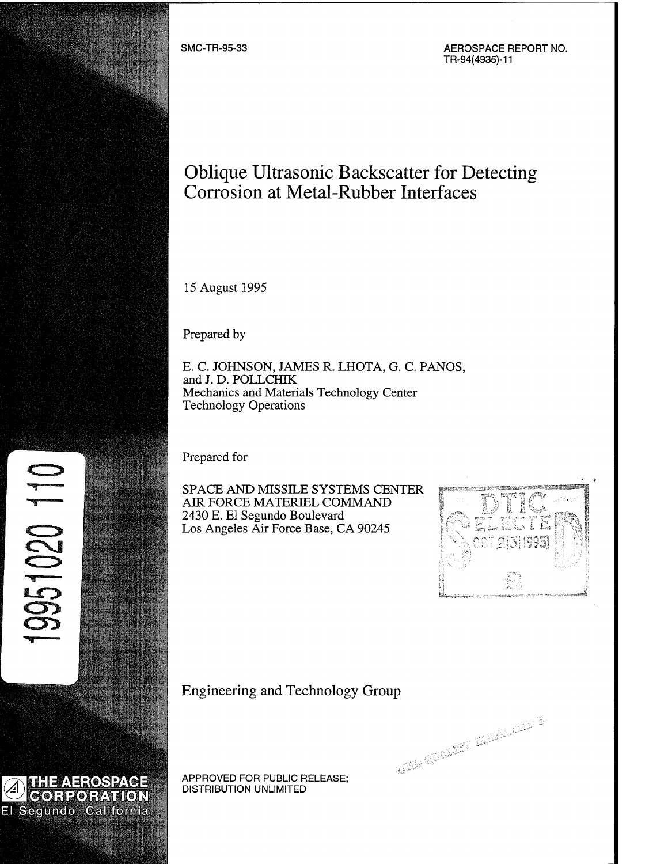

**THEAEROSPACE CORPORATION** El Segundo, California

**A**

 $\mathbf{F}$ 

**5&Ü**

APPROVED FOR PUBLIC RELEASE; DISTRIBUTION UNLIMITED

Engineering and Technology Group

O CHARGE SHEET



Prepared by

E. C. JOHNSON, JAMES R. LHOTA, G. C. PANOS, and J. D. POLLCHIK Mechanics and Materials Technology Center Technology Operations

Prepared for

15 August 1995

SPACE AND MISSILE SYSTEMS CENTER AIR FORCE MATERIEL COMMAND 2430 E. El Segundo Boulevard Los Angeles Air Force Base, CA 90245

Oblique Ultrasonic Backscatter for Detecting

Corrosion at Metal-Rubber Interfaces

SMC-TR-95-33 AEROSPACE REPORT NO. TR-94(4935)-11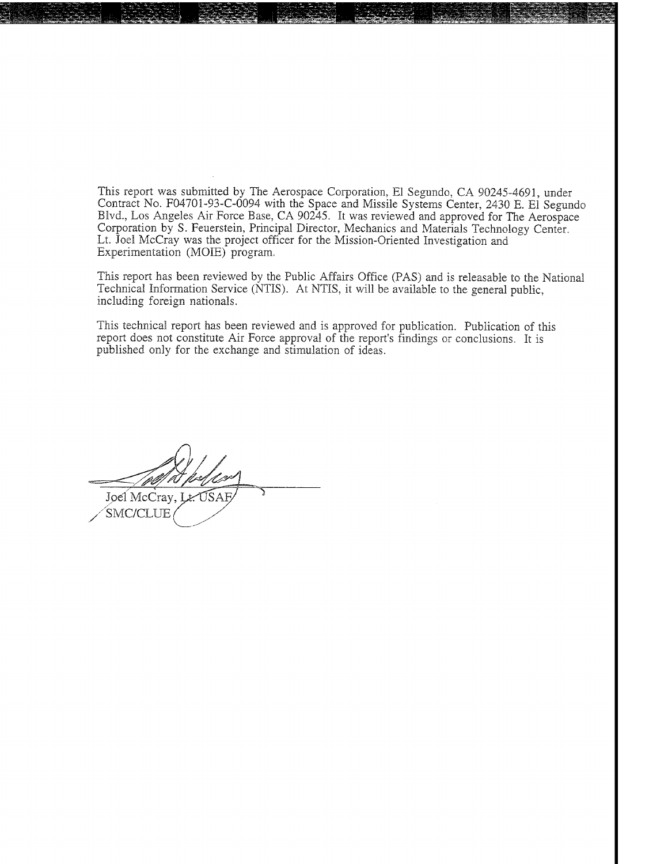This report was submitted by The Aerospace Corporation, El Segundo, CA 90245-4691, under Contract No. F04701-93-C-0094 with the Space and Missile Systems Center, 2430 E. El Segundo Blvd., Los Angeles Air Force Base, CA 90245. It was reviewed and approved for The Aerospace Corporation by S. Feuerstein, Principal Director, Mechanics and Materials Technology Center. Lt. Joel McCray was the project officer for the Mission-Oriented Investigation and Experimentation (MOIE) program.

*"^fiffl^BBM*

This report has been reviewed by the Public Affairs Office (PAS) and is releasable to the National Technical Information Service (NTIS). At NTIS, it will be available to the general public, including foreign nationals.

This technical report has been reviewed and is approved for publication. Publication of this report does not constitute Air Force approval of the report's findings or conclusions. It is published only for the exchange and stimulation of ideas.

Joel McCray, Lt. USAE SMC/CLUE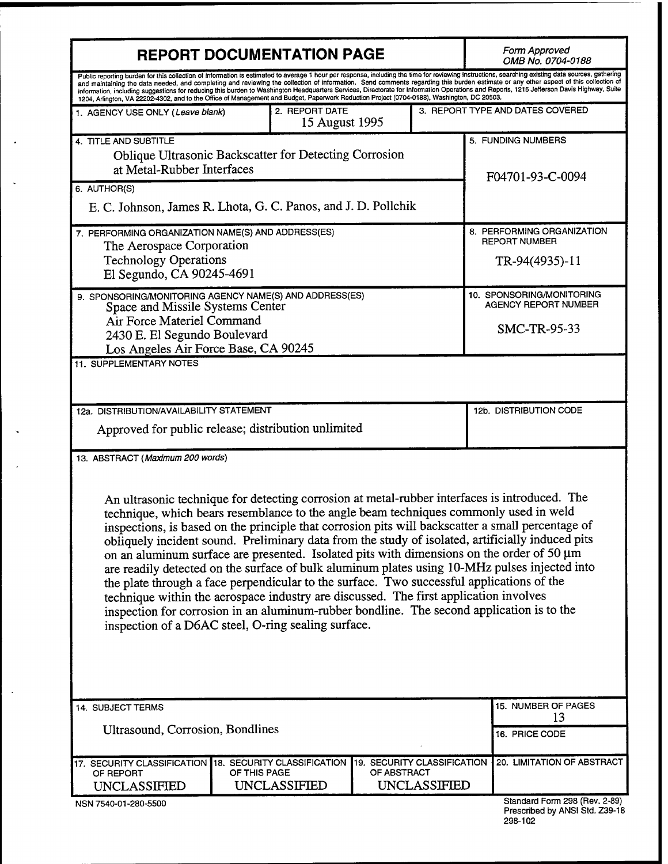| <b>REPORT DOCUMENTATION PAGE</b>                                                                                                                                                                                                                                              |              |                                  |                                            | Form Approved<br>OMB No. 0704-0188 |                                                                                                                                                                                                                                                                                                                                                                                                                                                                                                                                                                                                                                                                                            |  |
|-------------------------------------------------------------------------------------------------------------------------------------------------------------------------------------------------------------------------------------------------------------------------------|--------------|----------------------------------|--------------------------------------------|------------------------------------|--------------------------------------------------------------------------------------------------------------------------------------------------------------------------------------------------------------------------------------------------------------------------------------------------------------------------------------------------------------------------------------------------------------------------------------------------------------------------------------------------------------------------------------------------------------------------------------------------------------------------------------------------------------------------------------------|--|
| 1204, Arlington, VA 22202-4302, and to the Office of Management and Budget, Paperwork Reduction Project (0704-0188), Washington, DC 20503.                                                                                                                                    |              |                                  |                                            |                                    | Public reporting burden for this collection of information is estimated to average 1 hour per response, including the time for reviewing instructions, searching existing data sources, gathering<br>and maintaining the data needed, and completing and reviewing the collection of information. Send comments regarding this burden estimate or any other aspect of this collection of<br>information, including suggestions for reducing this burden to Washington Headquarters Services, Directorate for Information Operations and Reports, 1215 Jefferson Davis Highway, Suite                                                                                                       |  |
| 1. AGENCY USE ONLY (Leave blank)                                                                                                                                                                                                                                              |              | 2. REPORT DATE<br>15 August 1995 |                                            |                                    | 3. REPORT TYPE AND DATES COVERED                                                                                                                                                                                                                                                                                                                                                                                                                                                                                                                                                                                                                                                           |  |
| 4. TITLE AND SUBTITLE<br><b>Oblique Ultrasonic Backscatter for Detecting Corrosion</b><br>at Metal-Rubber Interfaces<br>6. AUTHOR(S)                                                                                                                                          |              |                                  |                                            |                                    | 5. FUNDING NUMBERS<br>F04701-93-C-0094                                                                                                                                                                                                                                                                                                                                                                                                                                                                                                                                                                                                                                                     |  |
| E. C. Johnson, James R. Lhota, G. C. Panos, and J. D. Pollchik                                                                                                                                                                                                                |              |                                  |                                            |                                    |                                                                                                                                                                                                                                                                                                                                                                                                                                                                                                                                                                                                                                                                                            |  |
| 7. PERFORMING ORGANIZATION NAME(S) AND ADDRESS(ES)<br>The Aerospace Corporation<br><b>Technology Operations</b><br>El Segundo, CA 90245-4691                                                                                                                                  |              |                                  |                                            |                                    | 8. PERFORMING ORGANIZATION<br><b>REPORT NUMBER</b><br>TR-94(4935)-11                                                                                                                                                                                                                                                                                                                                                                                                                                                                                                                                                                                                                       |  |
| 9. SPONSORING/MONITORING AGENCY NAME(S) AND ADDRESS(ES)<br>Space and Missile Systems Center<br>Air Force Materiel Command<br>2430 E. El Segundo Boulevard<br>Los Angeles Air Force Base, CA 90245                                                                             |              |                                  |                                            |                                    | 10. SPONSORING/MONITORING<br>AGENCY REPORT NUMBER<br>SMC-TR-95-33                                                                                                                                                                                                                                                                                                                                                                                                                                                                                                                                                                                                                          |  |
| 11. SUPPLEMENTARY NOTES                                                                                                                                                                                                                                                       |              |                                  |                                            |                                    |                                                                                                                                                                                                                                                                                                                                                                                                                                                                                                                                                                                                                                                                                            |  |
| 12a. DISTRIBUTION/AVAILABILITY STATEMENT<br>Approved for public release; distribution unlimited                                                                                                                                                                               |              |                                  |                                            |                                    | 12b. DISTRIBUTION CODE                                                                                                                                                                                                                                                                                                                                                                                                                                                                                                                                                                                                                                                                     |  |
| 13. ABSTRACT (Maximum 200 words)<br>the plate through a face perpendicular to the surface. Two successful applications of the<br>technique within the aerospace industry are discussed. The first application involves<br>inspection of a D6AC steel, O-ring sealing surface. |              |                                  |                                            |                                    | An ultrasonic technique for detecting corrosion at metal-rubber interfaces is introduced. The<br>technique, which bears resemblance to the angle beam techniques commonly used in weld<br>inspections, is based on the principle that corrosion pits will backscatter a small percentage of<br>obliquely incident sound. Preliminary data from the study of isolated, artificially induced pits<br>on an aluminum surface are presented. Isolated pits with dimensions on the order of 50 µm<br>are readily detected on the surface of bulk aluminum plates using 10-MHz pulses injected into<br>inspection for corrosion in an aluminum-rubber bondline. The second application is to the |  |
| 14. SUBJECT TERMS                                                                                                                                                                                                                                                             |              |                                  |                                            | 15. NUMBER OF PAGES<br>13          |                                                                                                                                                                                                                                                                                                                                                                                                                                                                                                                                                                                                                                                                                            |  |
| Ultrasound, Corrosion, Bondlines                                                                                                                                                                                                                                              |              |                                  |                                            |                                    | 16. PRICE CODE                                                                                                                                                                                                                                                                                                                                                                                                                                                                                                                                                                                                                                                                             |  |
| 17. SECURITY CLASSIFICATION 18. SECURITY CLASSIFICATION<br>OF REPORT<br><b>UNCLASSIFIED</b><br>NSN 7540-01-280-5500                                                                                                                                                           | OF THIS PAGE | <b>UNCLASSIFIED</b>              | 19. SECURITY CLASSIFICATION<br>OF ABSTRACT | <b>UNCLASSIFIED</b>                | 20. LIMITATION OF ABSTRACT<br>Standard Form 298 (Rev. 2-89)                                                                                                                                                                                                                                                                                                                                                                                                                                                                                                                                                                                                                                |  |
|                                                                                                                                                                                                                                                                               |              |                                  |                                            |                                    | Prescribed by ANSI Std. Z39-18                                                                                                                                                                                                                                                                                                                                                                                                                                                                                                                                                                                                                                                             |  |

 $\cdot$ 

J.

Ü

 $\ddot{\phantom{1}}$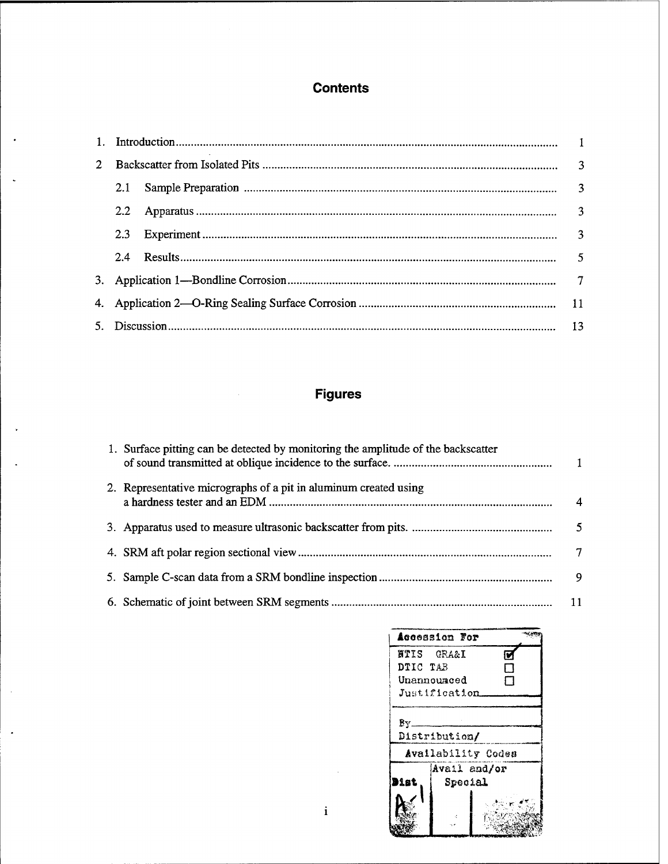# **Contents**

 $\cdot$ 

 $\ddot{\phantom{0}}$ 

 $\bar{z}$ 

 $\ddot{\phantom{a}}$ 

| $2^{\circ}$ |         |  |  |
|-------------|---------|--|--|
|             |         |  |  |
|             | $2.2\,$ |  |  |
|             |         |  |  |
|             |         |  |  |
|             |         |  |  |
|             |         |  |  |
|             |         |  |  |

# **Figures**

| 1. Surface pitting can be detected by monitoring the amplitude of the backscatter |                |
|-----------------------------------------------------------------------------------|----------------|
| 2. Representative micrographs of a pit in aluminum created using                  | $\overline{4}$ |
|                                                                                   |                |
|                                                                                   | $\tau$         |
|                                                                                   |                |
|                                                                                   | $-11$          |

 $\mathbf{i}$ 

| Accession For         |              |         |                    |  |
|-----------------------|--------------|---------|--------------------|--|
| <b>NTIS GRA&amp;I</b> |              |         |                    |  |
| DTIC TAB              |              |         | J.                 |  |
| Unannounced           |              |         | ד                  |  |
| Justification.        |              |         |                    |  |
| Distribution/         |              |         | Availability Codes |  |
|                       | Avail and/or |         |                    |  |
| Diat                  |              | Special |                    |  |
|                       |              |         |                    |  |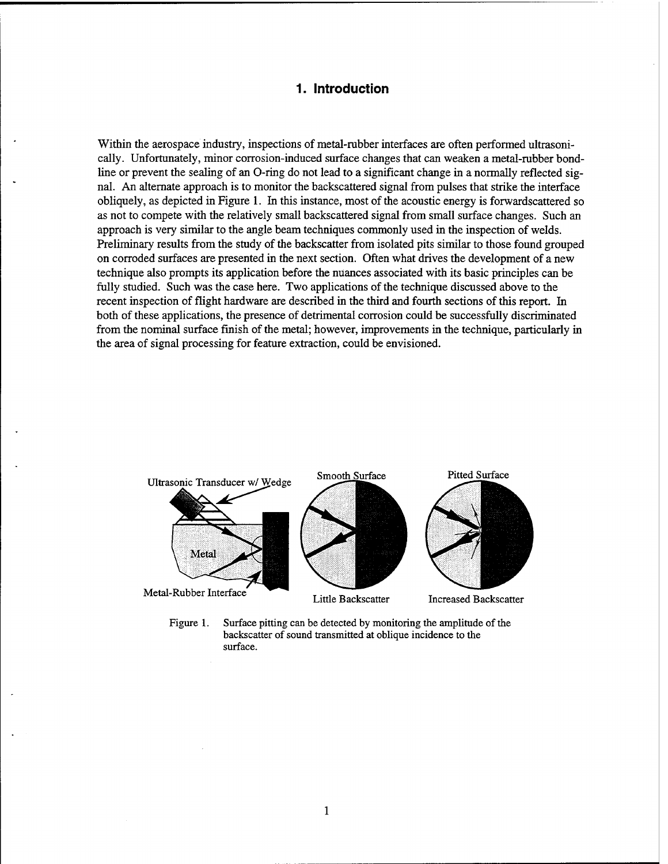## **1. Introduction**

Within the aerospace industry, inspections of metal-rubber interfaces are often performed ultrasonically. Unfortunately, minor corrosion-induced surface changes that can weaken a metal-rubber bondline or prevent the sealing of an O-ring do not lead to a significant change in a normally reflected signal. An alternate approach is to monitor the backscattered signal from pulses that strike the interface obliquely, as depicted in Figure 1. In this instance, most of the acoustic energy is forwardscattered so as not to compete with the relatively small backscattered signal from small surface changes. Such an approach is very similar to the angle beam techniques commonly used in the inspection of welds. Preliminary results from the study of the backscatter from isolated pits similar to those found grouped on corroded surfaces are presented in the next section. Often what drives the development of a new technique also prompts its application before the nuances associated with its basic principles can be fully studied. Such was the case here. Two applications of the technique discussed above to the recent inspection of flight hardware are described in the third and fourth sections of this report. In both of these applications, the presence of detrimental corrosion could be successfully discriminated from the nominal surface finish of the metal; however, improvements in the technique, particularly in the area of signal processing for feature extraction, could be envisioned.



Figure 1. Surface pitting can be detected by monitoring the amplitude of the backscatter of sound transmitted at oblique incidence to the surface.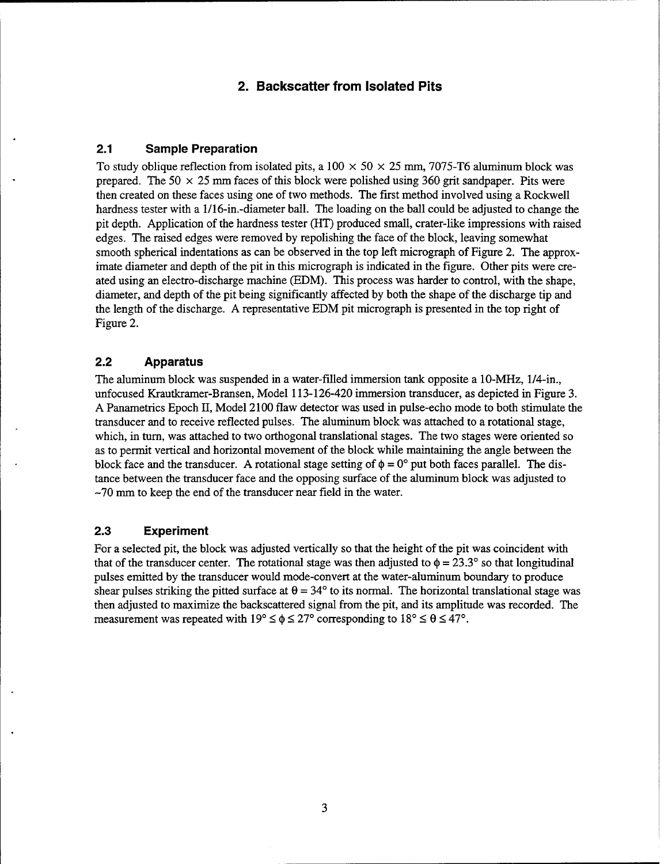# **2. Backscatter from Isolated Pits**

### **2.1 Sample Preparation**

To study oblique reflection from isolated pits, a  $100 \times 50 \times 25$  mm, 7075-T6 aluminum block was prepared. The 50  $\times$  25 mm faces of this block were polished using 360 grit sandpaper. Pits were then created on these faces using one of two methods. The first method involved using a Rockwell hardness tester with a l/16-in.-diameter ball. The loading on the ball could be adjusted to change the pit depth. Application of the hardness tester (HT) produced small, crater-like impressions with raised edges. The raised edges were removed by repolishing the face of the block, leaving somewhat smooth spherical indentations as can be observed in the top left micrograph of Figure 2. The approximate diameter and depth of the pit in this micrograph is indicated in the figure. Other pits were created using an electro-discharge machine (EDM). This process was harder to control, with the shape, diameter, and depth of the pit being significantly affected by both the shape of the discharge tip and the length of the discharge. A representative EDM pit micrograph is presented in the top right of Figure 2.

## **2.2 Apparatus**

The aluminum block was suspended in a water-filled immersion tank opposite a 10-MHz, 1/4-in., unfocused Krautkramer-Bransen, Model 113-126-420 immersion transducer, as depicted in Figure 3. A Panametrics Epoch II, Model 2100 flaw detector was used in pulse-echo mode to both stimulate the transducer and to receive reflected pulses. The aluminum block was attached to a rotational stage, which, in turn, was attached to two orthogonal translational stages. The two stages were oriented so as to permit vertical and horizontal movement of the block while maintaining the angle between the block face and the transducer. A rotational stage setting of  $\phi = 0^{\circ}$  put both faces parallel. The distance between the transducer face and the opposing surface of the aluminum block was adjusted to -70 mm to keep the end of the transducer near field in the water.

#### **2.3 Experiment**

For a selected pit, the block was adjusted vertically so that the height of the pit was coincident with that of the transducer center. The rotational stage was then adjusted to  $\phi = 23.3^{\circ}$  so that longitudinal pulses emitted by the transducer would mode-convert at the water-aluminum boundary to produce shear pulses striking the pitted surface at  $\theta = 34^{\circ}$  to its normal. The horizontal translational stage was then adjusted to maximize the backscattered signal from the pit, and its amplitude was recorded. The measurement was repeated with  $19^{\circ} \le \phi \le 27^{\circ}$  corresponding to  $18^{\circ} \le \theta \le 47^{\circ}$ .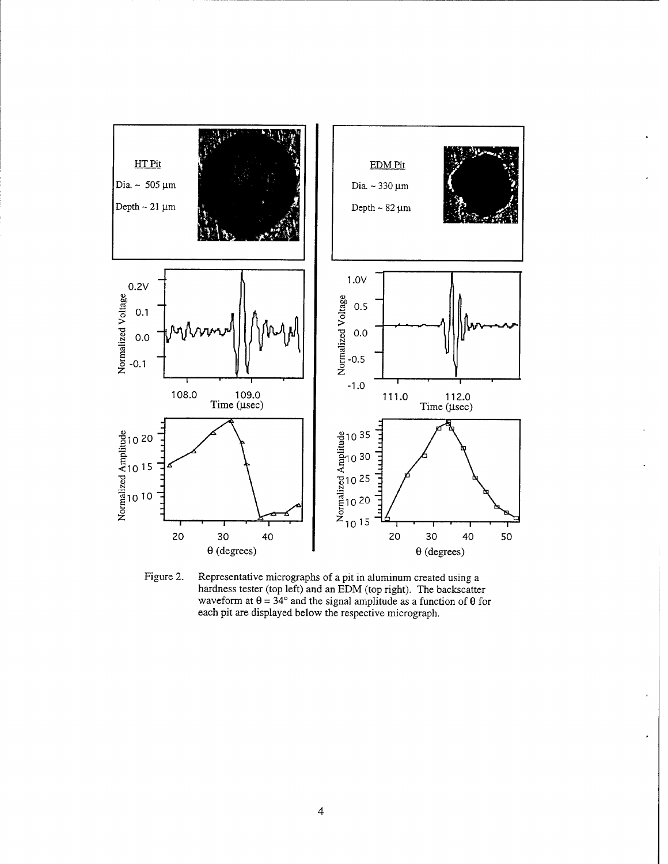

Figure 2. Representative micrographs of a pit in aluminum created using a hardness tester (top left) and an EDM (top right). The backscatter waveform at  $\theta = 34^{\circ}$  and the signal amplitude as a function of  $\theta$  for each pit are displayed below the respective micrograph.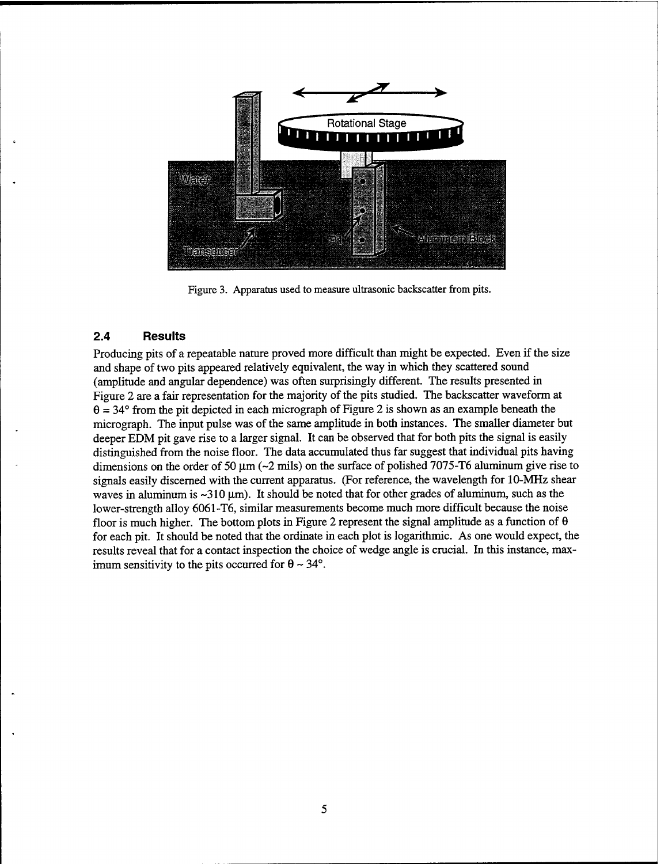

Figure 3. Apparatus used to measure ultrasonic backscatter from pits.

#### **2.4 Results**

Producing pits of a repeatable nature proved more difficult than might be expected. Even if the size and shape of two pits appeared relatively equivalent, the way in which they scattered sound (amplitude and angular dependence) was often surprisingly different. The results presented in Figure 2 are a fair representation for the majority of the pits studied. The backscatter waveform at  $\theta = 34^{\circ}$  from the pit depicted in each micrograph of Figure 2 is shown as an example beneath the micrograph. The input pulse was of the same amplitude in both instances. The smaller diameter but deeper EDM pit gave rise to a larger signal. It can be observed that for both pits the signal is easily distinguished from the noise floor. The data accumulated thus far suggest that individual pits having dimensions on the order of 50  $\mu$ m (~2 mils) on the surface of polished 7075-T6 aluminum give rise to signals easily discerned with the current apparatus. (For reference, the wavelength for 10-MHz shear waves in aluminum is  $\sim$ 310  $\mu$ m). It should be noted that for other grades of aluminum, such as the lower-strength alloy 6061-T6, similar measurements become much more difficult because the noise floor is much higher. The bottom plots in Figure 2 represent the signal amplitude as a function of  $\theta$ for each pit. It should be noted that the ordinate in each plot is logarithmic. As one would expect, the results reveal that for a contact inspection the choice of wedge angle is crucial. In this instance, maximum sensitivity to the pits occurred for  $\theta \sim 34^{\circ}$ .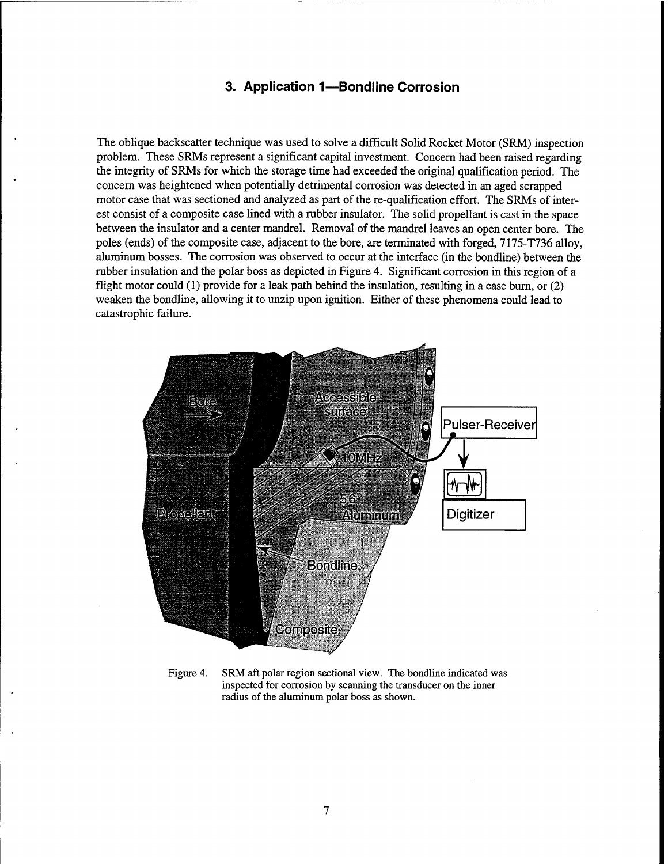# **3. Application 1—Bondline Corrosion**

The oblique backscatter technique was used to solve a difficult Solid Rocket Motor (SRM) inspection problem. These SRMs represent a significant capital investment. Concern had been raised regarding the integrity of SRMs for which the storage time had exceeded the original qualification period. The concern was heightened when potentially detrimental corrosion was detected in an aged scrapped motor case that was sectioned and analyzed as part of the re-qualification effort. The SRMs of interest consist of a composite case lined with a rubber insulator. The solid propellant is cast in the space between the insulator and a center mandrel. Removal of the mandrel leaves an open center bore. The poles (ends) of the composite case, adjacent to the bore, are terminated with forged, 7175-1736 alloy, aluminum bosses. The corrosion was observed to occur at the interface (in the bondline) between the rubber insulation and the polar boss as depicted in Figure 4. Significant corrosion in this region of a flight motor could (1) provide for a leak path behind the insulation, resulting in a case burn, or (2) weaken the bondline, allowing it to unzip upon ignition. Either of these phenomena could lead to catastrophic failure.



Figure 4. SRM aft polar region sectional view. The bondline indicated was inspected for corrosion by scanning the transducer on the inner radius of the aluminum polar boss as shown.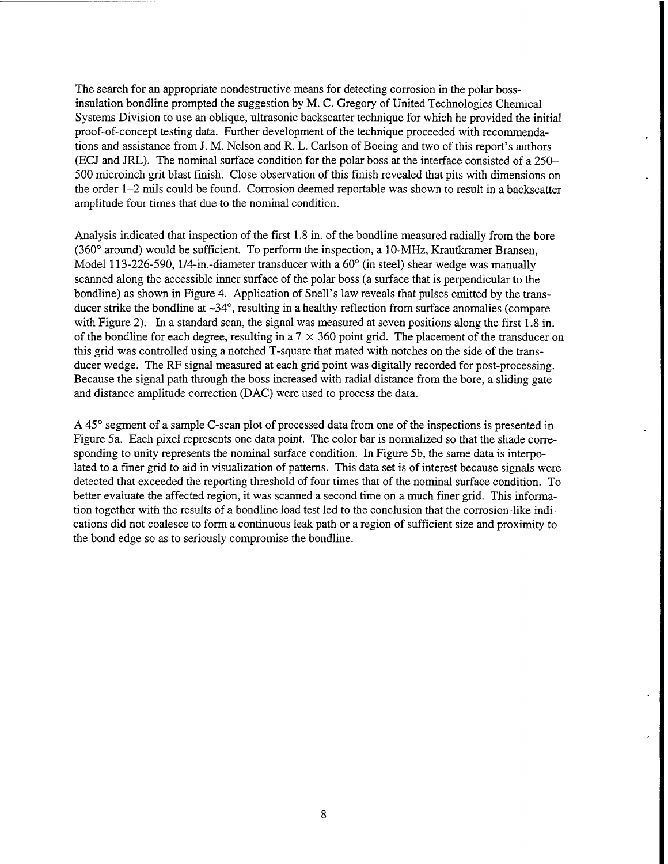The search for an appropriate nondestructive means for detecting corrosion in the polar bossinsulation bondline prompted the suggestion by M. C. Gregory of United Technologies Chemical Systems Division to use an oblique, ultrasonic backscatter technique for which he provided the initial proof-of-concept testing data. Further development of the technique proceeded with recommendations and assistance from J. M. Nelson and R. L. Carlson of Boeing and two of this report's authors (ECJ and JRL). The nominal surface condition for the polar boss at the interface consisted of a 250- 500 microinch grit blast finish. Close observation of this finish revealed that pits with dimensions on the order 1-2 mils could be found. Corrosion deemed reportable was shown to result in a backscatter amplitude four times that due to the nominal condition.

Analysis indicated that inspection of the first 1.8 in. of the bondline measured radially from the bore (360° around) would be sufficient. To perform the inspection, a 10-MHz, Krautkramer Bransen, Model 113-226-590, 1/4-in.-diameter transducer with a 60° (in steel) shear wedge was manually scanned along the accessible inner surface of the polar boss (a surface that is perpendicular to the bondline) as shown in Figure 4. Application of Snell's law reveals that pulses emitted by the transducer strike the bondline at  $\sim 34^\circ$ , resulting in a healthy reflection from surface anomalies (compare with Figure 2). In a standard scan, the signal was measured at seven positions along the first 1.8 in. of the bondline for each degree, resulting in a  $7 \times 360$  point grid. The placement of the transducer on this grid was controlled using a notched T-square that mated with notches on the side of the transducer wedge. The RF signal measured at each grid point was digitally recorded for post-processing. Because the signal path through the boss increased with radial distance from the bore, a sliding gate and distance amplitude correction (DAC) were used to process the data.

A 45° segment of a sample C-scan plot of processed data from one of the inspections is presented in Figure 5a. Each pixel represents one data point. The color bar is normalized so that the shade corresponding to unity represents the nominal surface condition. In Figure 5b, the same data is interpolated to a finer grid to aid in visualization of patterns. This data set is of interest because signals were detected that exceeded the reporting threshold of four times that of the nominal surface condition. To better evaluate the affected region, it was scanned a second time on a much finer grid. This information together with the results of a bondline load test led to the conclusion that the corrosion-like indications did not coalesce to form a continuous leak path or a region of sufficient size and proximity to the bond edge so as to seriously compromise the bondline.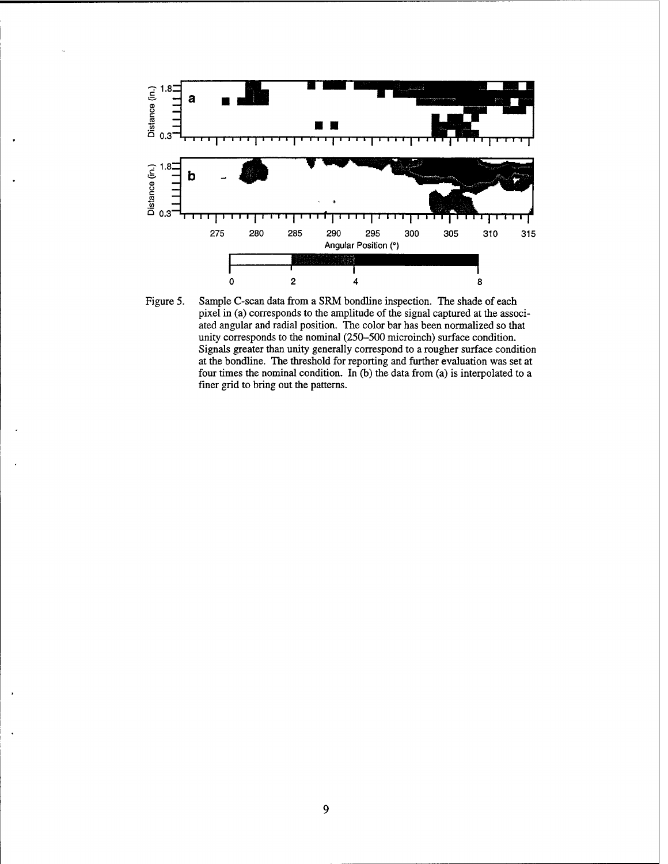

Figure 5. Sample C-scan data from a SRM bondline inspection. The shade of each pixel in (a) corresponds to the amplitude of the signal captured at the associated angular and radial position. The color bar has been normalized so that unity corresponds to the nominal (250-500 microinch) surface condition. Signals greater than unity generally correspond to a rougher surface condition at the bondline. The threshold for reporting and further evaluation was set at four times the nominal condition. In (b) the data from (a) is interpolated to a finer grid to bring out the patterns.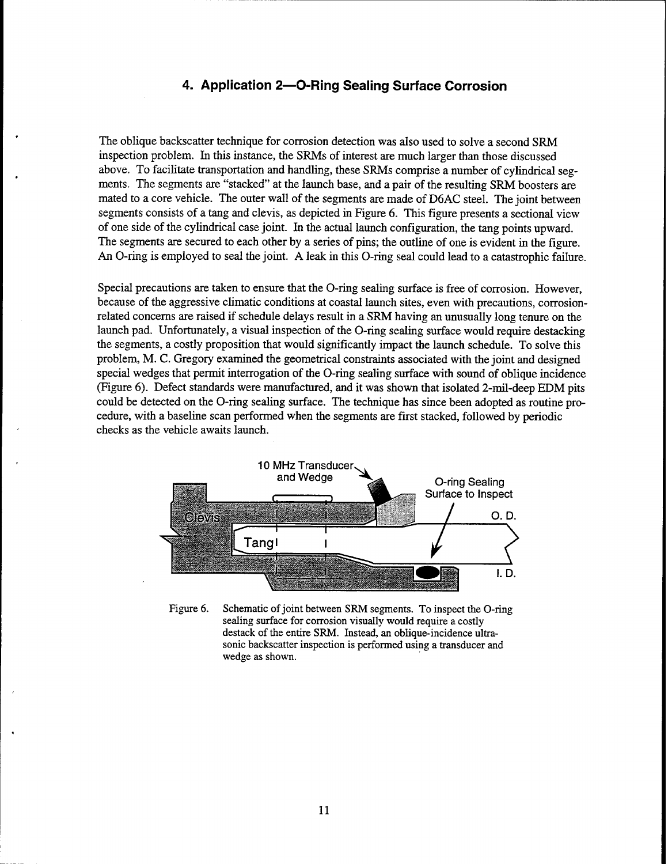# **4. Application 2—O-Ring Sealing Surface Corrosion**

The oblique backscatter technique for corrosion detection was also used to solve a second SRM inspection problem. In this instance, the SRMs of interest are much larger than those discussed above. To facilitate transportation and handling, these SRMs comprise a number of cylindrical segments. The segments are "stacked" at the launch base, and a pair of the resulting SRM boosters are mated to a core vehicle. The outer wall of the segments are made of D6AC steel. The joint between segments consists of a tang and clevis, as depicted in Figure 6. This figure presents a sectional view of one side of the cylindrical case joint. In the actual launch configuration, the tang points upward. The segments are secured to each other by a series of pins; the outline of one is evident in the figure. An O-ring is employed to seal the joint. A leak in this O-ring seal could lead to a catastrophic failure.

Special precautions are taken to ensure that the O-ring sealing surface is free of corrosion. However, because of the aggressive climatic conditions at coastal launch sites, even with precautions, corrosionrelated concerns are raised if schedule delays result in a SRM having an unusually long tenure on the launch pad. Unfortunately, a visual inspection of the O-ring sealing surface would require destacking the segments, a costly proposition that would significantly impact the launch schedule. To solve this problem, M. C. Gregory examined the geometrical constraints associated with the joint and designed special wedges that permit interrogation of the O-ring sealing surface with sound of oblique incidence (Figure 6). Defect standards were manufactured, and it was shown that isolated 2-mil-deep EDM pits could be detected on the O-ring sealing surface. The technique has since been adopted as routine procedure, with a baseline scan performed when the segments are first stacked, followed by periodic checks as the vehicle awaits launch.



Figure 6. Schematic of joint between SRM segments. To inspect the O-ring sealing surface for corrosion visually would require a costly destack of the entire SRM. Instead, an oblique-incidence ultrasonic backscatter inspection is performed using a transducer and wedge as shown.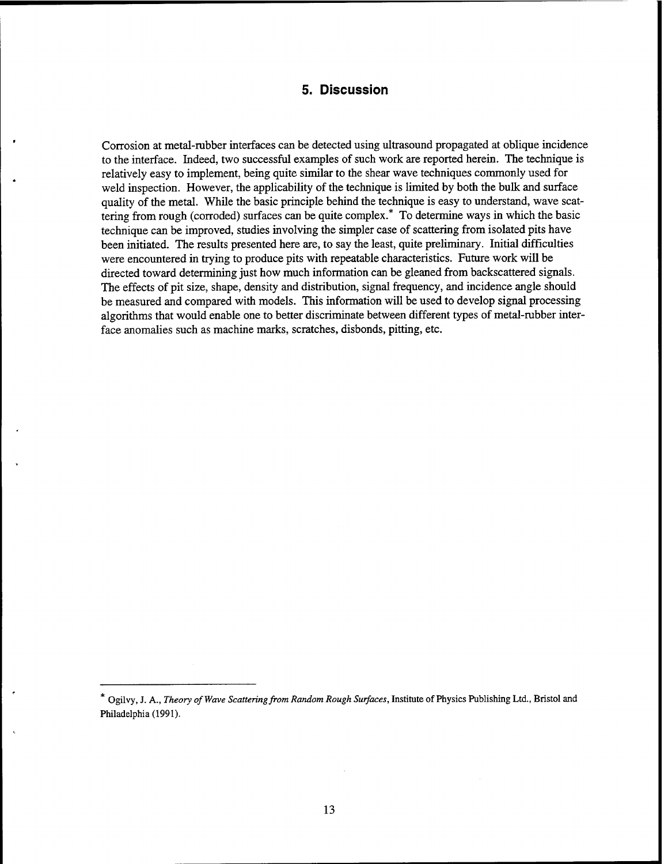# 5. Discussion

Corrosion at metal-rubber interfaces can be detected using ultrasound propagated at oblique incidence to the interface. Indeed, two successful examples of such work are reported herein. The technique is relatively easy to implement, being quite similar to the shear wave techniques commonly used for weld inspection. However, the applicability of the technique is limited by both the bulk and surface quality of the metal. While the basic principle behind the technique is easy to understand, wave scattering from rough (corroded) surfaces can be quite complex.\* To determine ways in which the basic technique can be improved, studies involving the simpler case of scattering from isolated pits have been initiated. The results presented here are, to say the least, quite preliminary. Initial difficulties were encountered in trying to produce pits with repeatable characteristics. Future work will be directed toward determining just how much information can be gleaned from backscattered signals. The effects of pit size, shape, density and distribution, signal frequency, and incidence angle should be measured and compared with models. This information will be used to develop signal processing algorithms that would enable one to better discriminate between different types of metal-rubber interface anomalies such as machine marks, scratches, disbonds, pitting, etc.

<sup>\*</sup> Ogilvy, J. A., *Theory of Wave Scatteringfrom Random Rough Surfaces,* Institute of Physics Publishing Ltd., Bristol and Philadelphia (1991).